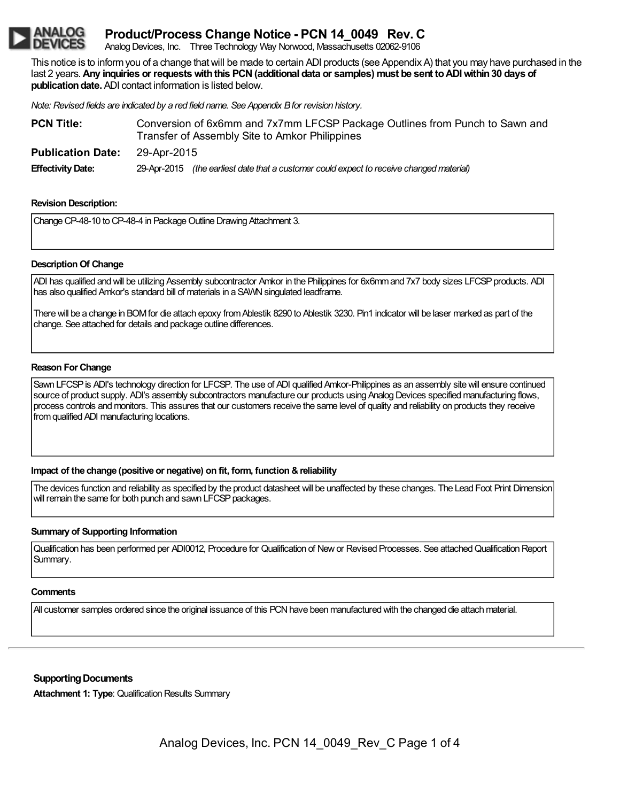# **Product/Process Change Notice - PCN 14\_0049 Rev. C**

Analog Devices, Inc. Three Technology Way Norwood, Massachusetts 02062-9106

This notice is to informyou of a change thatwill be made to certain ADI products (see Appendix A) that you may have purchased in the last 2 years.**Any inquiries or requestswiththis PCN(additional data or samples) must be sent toADIwithin30 days of publication date.** ADI contact information is listed below.

*Note: Revised fields are indicated by a red field name. See Appendix Bfor revision history.*

| <b>PCN Title:</b>        | Conversion of 6x6mm and 7x7mm LFCSP Package Outlines from Punch to Sawn and<br>Transfer of Assembly Site to Amkor Philippines |  |  |
|--------------------------|-------------------------------------------------------------------------------------------------------------------------------|--|--|
| <b>Publication Date:</b> | 29-Apr-2015                                                                                                                   |  |  |
| <b>Effectivity Date:</b> | 29-Apr-2015 (the earliest date that a customer could expect to receive changed material)                                      |  |  |

## **Revision Description:**

Change CP-48-10 to CP-48-4 in Package Outline Drawing Attachment 3.

## **Description Of Change**

ADI has qualified and will be utilizing Assembly subcontractor Amkor in the Philippines for 6x6mm and 7x7 body sizes LFCSP products. ADI has also qualified Amkor's standard bill of materials in a SAVM singulated leadframe.

There will be a change in BOM for die attach epoxy from Ablestik 8290 to Ablestik 3230. Pin1 indicator will be laser marked as part of the change. See attached for details and package outline differences.

### **Reason For Change**

Sawn LFCSP is ADI's technology direction for LFCSP. The use of ADI qualified Amkor-Philippines as an assembly site will ensure continued source of product supply. ADI's assembly subcontractors manufacture our products using Analog Devices specified manufacturing flows, process controls and monitors. This assures that our customers receive the same level of quality and reliability on products they receive fromqualified ADI manufacturing locations.

### **Impact of the change (positive or negative) on fit, form, function &reliability**

The devices function and reliability as specified by the product datasheet will be unaffected by these changes. The Lead Foot Print Dimension will remain the same for both punch and sawn LFCSP packages.

## **Summary of Supporting Information**

Qualification has been performed per ADI0012, Procedure for Qualification of Newor Revised Processes. See attachedQualificationReport Summary.

## **Comments**

All customer samples ordered since the original issuance of this PCN have been manufactured with the changed die attach material.

### **Supporting Documents**

**Attachment 1: Type: Qualification Results Summary**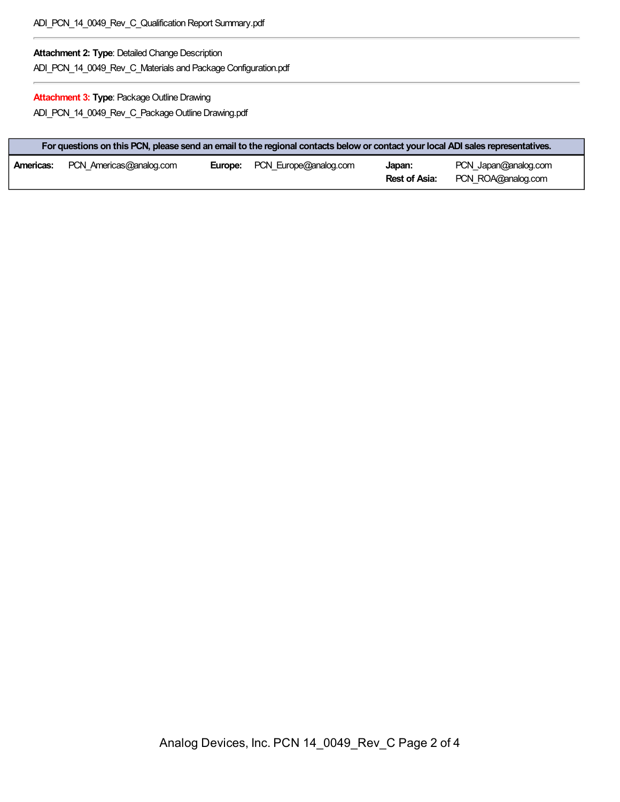## **Attachment 2: Type: Detailed Change Description**

ADI\_PCN\_14\_0049\_Rev\_C\_Materials and Package Configuration.pdf

## **Attachment 3: Type: Package Outline Drawing**

ADI\_PCN\_14\_0049\_Rev\_C\_Package Outline Drawing.pdf

| For questions on this PCN, please send an email to the regional contacts below or contact your local ADI sales representatives. |                         |  |                                      |                         |                                            |
|---------------------------------------------------------------------------------------------------------------------------------|-------------------------|--|--------------------------------------|-------------------------|--------------------------------------------|
| Americas:                                                                                                                       | PCN Americas@analog.com |  | <b>Europe:</b> PCN Europe@analog.com | Japan:<br>Rest of Asia: | PCN Japan@analog.com<br>PCN ROA@analog.com |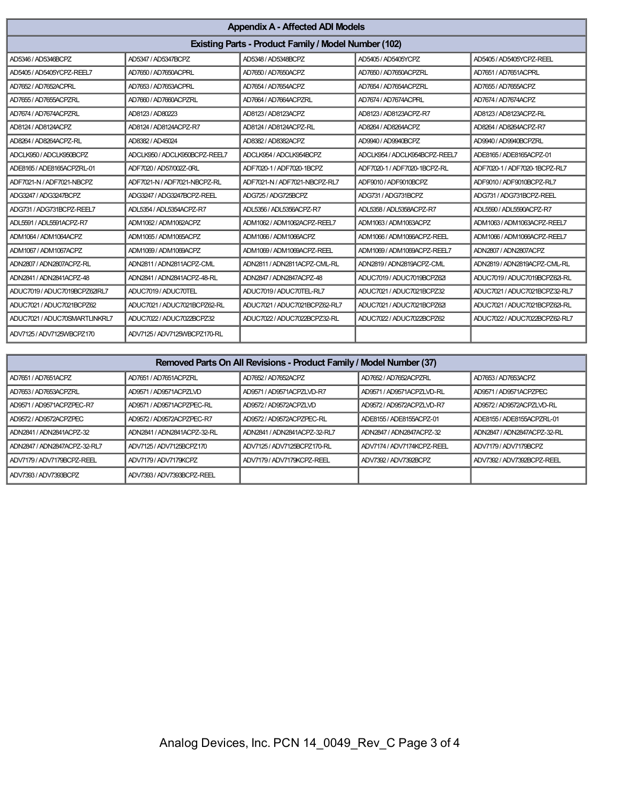| <b>Appendix A - Affected ADI Models</b>                     |                               |                               |                               |                               |
|-------------------------------------------------------------|-------------------------------|-------------------------------|-------------------------------|-------------------------------|
| <b>Existing Parts - Product Family / Model Number (102)</b> |                               |                               |                               |                               |
| AD5346 / AD5346BCPZ                                         | AD5347 / AD5347BCPZ           | AD5348 / AD5348BCPZ           | AD5405 / AD5405YCPZ           | AD5405 / AD5405YCPZ-REEL      |
| AD5405 / AD5405YCPZ-REEL7                                   | AD7650 / AD7650ACPRL          | AD7650 / AD7650ACPZ           | AD7650 / AD7650ACPZRL         | AD7651 / AD7651ACPRL          |
| AD7652 / AD7652ACPRL                                        | AD7653 / AD7653ACPRL          | AD7654 / AD7654ACPZ           | AD7654 / AD7654ACPZRL         | AD7655 / AD7655ACPZ           |
| AD7655 / AD7655ACPZRL                                       | AD7660 / AD7660ACPZRL         | AD7664 / AD7664ACPZRL         | AD7674 / AD7674ACPRL          | AD7674 / AD7674ACPZ           |
| AD7674 / AD7674ACPZRL                                       | AD8123 / AD80223              | AD8123 / AD8123ACPZ           | AD8123 / AD8123ACPZ-R7        | AD8123 / AD8123ACPZ-RL        |
| AD8124 / AD8124ACPZ                                         | AD8124 / AD8124ACPZ-R7        | AD8124 / AD8124ACPZ-RL        | AD8264 / AD8264ACPZ           | AD8264 / AD8264ACPZ-R7        |
| AD8264 / AD8264ACPZ-RL                                      | AD8382 / AD45024              | AD8382 / AD8382ACPZ           | AD9940 / AD9940BCPZ           | AD9940 / AD9940BCPZRL         |
| ADCLK950 / ADCLK950BCPZ                                     | ADCLK950 / ADCLK950BCPZ-REEL7 | ADCLK954 / ADCLK954BCPZ       | ADCLK954 / ADCLK954BCPZ-REEL7 | ADE8165 / ADE8165ACPZ-01      |
| ADE8165 / ADE8165ACPZRL-01                                  | ADF7020 / AD57/002Z-0RL       | ADF7020-1 / ADF7020-1BCPZ     | ADF7020-1 / ADF7020-1BCPZ-RL  | ADF7020-1 / ADF7020-1BCPZ-RL7 |
| ADF7021-N / ADF7021-NBCPZ                                   | ADF7021-N / ADF7021-NBCPZ-RL  | ADF7021-N / ADF7021-NBCPZ-RL7 | ADF9010 / ADF9010BCPZ         | ADF9010 / ADF9010BCPZ-RL7     |
| ADG3247 / ADG3247BCPZ                                       | ADG3247 / ADG3247BCPZ-REEL    | ADG725 / ADG725BCPZ           | ADG731 / ADG731BCPZ           | ADG731 / ADG731BCPZ-REEL      |
| ADG731 / ADG731BCPZ-REEL7                                   | ADL5354 / ADL5354ACPZ-R7      | ADL5356 / ADL5356ACPZ-R7      | ADL5358 / ADL5358ACPZ-R7      | ADL5590 / ADL5590ACPZ-R7      |
| ADL5591 / ADL5591ACPZ-R7                                    | ADM1062 / ADM1062ACPZ         | ADM1062 / ADM1062ACPZ-REEL7   | ADM1063 / ADM1063ACPZ         | ADM1063 / ADM1063ACPZ-REEL7   |
| ADM1064 / ADM1064ACPZ                                       | ADM1065 / ADM1065ACPZ         | ADM1066 / ADM1066ACPZ         | ADM1066 / ADM1066ACPZ-REEL    | ADM1066 / ADM1066ACPZ-REEL7   |
| ADM1067 / ADM1067ACPZ                                       | ADM1069 / ADM1069ACPZ         | ADM1069 / ADM1069ACPZ-REEL    | ADM1069 / ADM1069ACPZ-REEL7   | ADN2807 / ADN2807ACPZ         |
| ADN2807 / ADN2807ACPZ-RL                                    | ADN2811 / ADN2811ACPZ-CML     | ADN2811 / ADN2811ACPZ-CML-RL  | ADN2819 / ADN2819ACPZ-CML     | ADN2819 / ADN2819ACPZ-CML-RL  |
| ADN2841 / ADN2841ACPZ-48                                    | ADN2841 / ADN2841ACPZ-48-RL   | ADN2847 / ADN2847ACPZ-48      | ADUC7019 / ADUC7019BCPZ62I    | ADUC7019/ADUC7019BCPZ62I-RL   |
| ADUC7019/ADUC7019BCPZ62IRL7                                 | ADUC7019 / ADUC70TEL          | ADUC7019 / ADUC70TEL-RL7      | ADUC7021 / ADUC7021BCPZ32     | ADUC7021 / ADUC7021BCPZ32-RL7 |
| ADUC7021 / ADUC7021BCPZ62                                   | ADUC7021 / ADUC7021BCPZ62-RL  | ADUC7021 / ADUC7021BCPZ62-RL7 | ADUC7021 / ADUC7021BCPZ62I    | ADUC7021 / ADUC7021BCPZ62I-RL |
| ADUC7021 / ADUC70SMARTLINKRL7                               | ADUC7022 / ADUC7022BCPZ32     | ADUC7022 / ADUC7022BCPZ32-RL  | ADUC7022 / ADUC7022BCPZ62     | ADUC7022 / ADUC7022BCPZ62-RL7 |
| ADV7125/ADV7125WBCPZ170                                     | ADV7125 / ADV7125WBCPZ170-RL  |                               |                               |                               |

| Removed Parts On All Revisions - Product Family / Model Number (37) |                             |                              |                            |                             |
|---------------------------------------------------------------------|-----------------------------|------------------------------|----------------------------|-----------------------------|
| AD7651 / AD7651ACPZ                                                 | AD7651 / AD7651ACPZRL       | AD7652 / AD7652ACPZ          | AD7652 / AD7652ACPZRL      | AD7653/AD7653ACPZ           |
| I AD7653/AD7653ACPZRL                                               | AD9571 / AD9571ACPZLVD      | AD9571 / AD9571ACPZLVD-R7    | AD9571 / AD9571ACPZLVD-RL  | AD9571 / AD9571ACPZPEC      |
| AD9571/AD9571ACPZPEC-R7                                             | AD9571 / AD9571ACPZPEC-RL   | AD9572 / AD9572ACPZLVD       | AD9572 / AD9572ACPZLVD-R7  | AD9572 / AD9572ACPZLVD-RL   |
| AD9572 / AD9572ACPZPEC                                              | AD9572 / AD9572ACPZPEC-R7   | AD9572 / AD9572ACPZPEC-RL    | ADE8155 / ADE8155ACPZ-01   | ADE8155 / ADE8155ACPZRL-01  |
| ADN2841 / ADN2841ACPZ-32                                            | ADN2841 / ADN2841ACPZ-32-RL | ADN2841 / ADN2841ACPZ-32-RL7 | ADN2847 / ADN2847ACPZ-32   | ADN2847 / ADN2847ACPZ-32-RL |
| ADN2847 / ADN2847ACPZ-32-RL7                                        | ADV7125/ADV7125BCPZ170      | ADV7125/ADV7125BCPZ170-RL    | ADV7174 / ADV7174KCPZ-REEL | ADV7179 / ADV7179BCPZ       |
| I ADV7179 / ADV7179BCPZ-REEL                                        | ADV7179/ADV7179KCPZ         | ADV7179/ADV7179KCPZ-REEL     | ADV7392 / ADV7392BCPZ      | ADV7392 / ADV7392BCPZ-REEL  |
| LADV7393 / ADV7393BCPZ                                              | ADV7393 / ADV7393BCPZ-REEL  |                              |                            |                             |